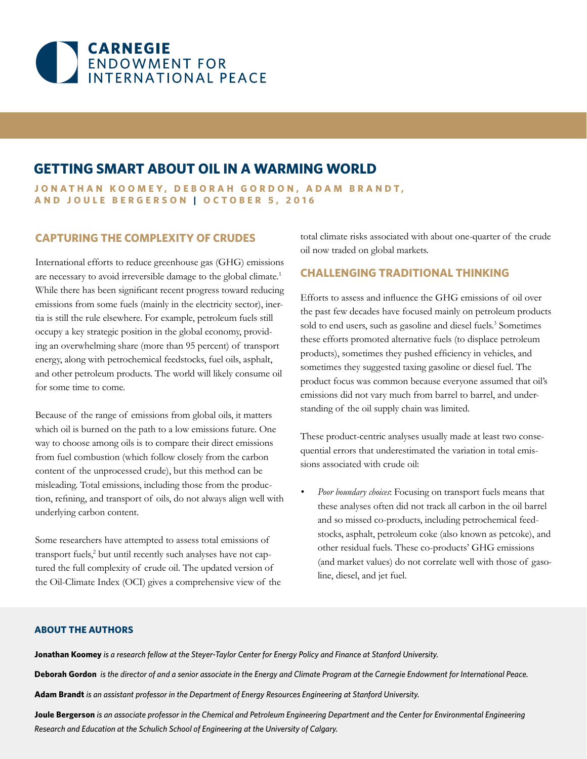

# **GETTING SMART ABOUT OIL IN A WARMING WORLD**

JONATHAN KOOMEY, DEBORAH GORDON, ADAM BRANDT, **AND JOULE BERGERSON | OCTOBER 5, 2016**

### **CAPTURING THE COMPLEXITY OF CRUDES**

International efforts to reduce greenhouse gas (GHG) emissions are necessary to avoid irreversible damage to the global climate.<sup>1</sup> While there has been signifcant recent progress toward reducing emissions from some fuels (mainly in the electricity sector), inertia is still the rule elsewhere. For example, petroleum fuels still occupy a key strategic position in the global economy, providing an overwhelming share (more than 95 percent) of transport energy, along with petrochemical feedstocks, fuel oils, asphalt, and other petroleum products. The world will likely consume oil for some time to come.

Because of the range of emissions from global oils, it matters which oil is burned on the path to a low emissions future. One way to choose among oils is to compare their direct emissions from fuel combustion (which follow closely from the carbon content of the unprocessed crude), but this method can be misleading. Total emissions, including those from the production, refning, and transport of oils, do not always align well with underlying carbon content.

Some researchers have attempted to assess total emissions of transport fuels,<sup>2</sup> but until recently such analyses have not captured the full complexity of crude oil. The updated version of the Oil-Climate Index (OCI) gives a comprehensive view of the total climate risks associated with about one-quarter of the crude oil now traded on global markets.

### **CHALLENGING TRADITIONAL THINKING**

Efforts to assess and infuence the GHG emissions of oil over the past few decades have focused mainly on petroleum products sold to end users, such as gasoline and diesel fuels.<sup>3</sup> Sometimes these efforts promoted alternative fuels (to displace petroleum products), sometimes they pushed efficiency in vehicles, and sometimes they suggested taxing gasoline or diesel fuel. The product focus was common because everyone assumed that oil's emissions did not vary much from barrel to barrel, and understanding of the oil supply chain was limited.

These product-centric analyses usually made at least two consequential errors that underestimated the variation in total emissions associated with crude oil:

*• Poor boundary choices*: Focusing on transport fuels means that these analyses often did not track all carbon in the oil barrel and so missed co-products, including petrochemical feedstocks, asphalt, petroleum coke (also known as petcoke), and other residual fuels. These co-products' GHG emissions (and market values) do not correlate well with those of gasoline, diesel, and jet fuel.

### **ABOUT THE AUTHORS**

**Jonathan Koomey** *is a research fellow at the Steyer-Taylor Center for Energy Policy and Finance at Stanford University.* 

**Deborah Gordon** *is the director of and a senior associate in the Energy and Climate Program at the Carnegie Endowment for International Peace.* 

**Adam Brandt** *is an assistant professor in the Department of Energy Resources Engineering at Stanford University.*

**Joule Bergerson** *is an associate professor in the Chemical and Petroleum Engineering Department and the Center for Environmental Engineering Research and Education at the Schulich School of Engineering at the University of Calgary.*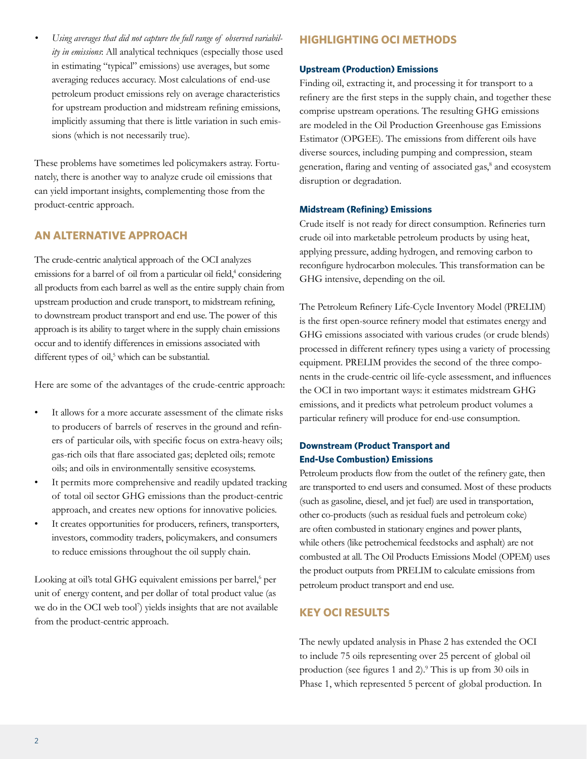*• Using averages that did not capture the full range of observed variability in emissions*: All analytical techniques (especially those used in estimating "typical" emissions) use averages, but some averaging reduces accuracy. Most calculations of end-use petroleum product emissions rely on average characteristics for upstream production and midstream refning emissions, implicitly assuming that there is little variation in such emissions (which is not necessarily true).

These problems have sometimes led policymakers astray. Fortunately, there is another way to analyze crude oil emissions that can yield important insights, complementing those from the product-centric approach.

### **AN ALTERNATIVE APPROACH**

The crude-centric analytical approach of the OCI analyzes emissions for a barrel of oil from a particular oil field,<sup>4</sup> considering all products from each barrel as well as the entire supply chain from upstream production and crude transport, to midstream refning, to downstream product transport and end use. The power of this approach is its ability to target where in the supply chain emissions occur and to identify differences in emissions associated with different types of oil,<sup>5</sup> which can be substantial.

Here are some of the advantages of the crude-centric approach:

- It allows for a more accurate assessment of the climate risks to producers of barrels of reserves in the ground and refners of particular oils, with specifc focus on extra-heavy oils; gas-rich oils that fare associated gas; depleted oils; remote oils; and oils in environmentally sensitive ecosystems.
- It permits more comprehensive and readily updated tracking of total oil sector GHG emissions than the product-centric approach, and creates new options for innovative policies.
- It creates opportunities for producers, refiners, transporters, investors, commodity traders, policymakers, and consumers to reduce emissions throughout the oil supply chain.

Looking at oil's total GHG equivalent emissions per barrel,<sup>6</sup> per unit of energy content, and per dollar of total product value (as we do in the OCI web tool<sup>7</sup>) yields insights that are not available from the product-centric approach.

### **HIGHLIGHTING OCI METHODS**

#### **Upstream (Production) Emissions**

Finding oil, extracting it, and processing it for transport to a refnery are the frst steps in the supply chain, and together these comprise upstream operations. The resulting GHG emissions are modeled in the Oil Production Greenhouse gas Emissions Estimator (OPGEE). The emissions from different oils have diverse sources, including pumping and compression, steam generation, flaring and venting of associated gas,<sup>8</sup> and ecosystem disruption or degradation.

#### **Midstream (Refining) Emissions**

Crude itself is not ready for direct consumption. Refneries turn crude oil into marketable petroleum products by using heat, applying pressure, adding hydrogen, and removing carbon to reconfgure hydrocarbon molecules. This transformation can be GHG intensive, depending on the oil.

The Petroleum Refnery Life-Cycle Inventory Model (PRELIM) is the frst open-source refnery model that estimates energy and GHG emissions associated with various crudes (or crude blends) processed in different refnery types using a variety of processing equipment. PRELIM provides the second of the three components in the crude-centric oil life-cycle assessment, and infuences the OCI in two important ways: it estimates midstream GHG emissions, and it predicts what petroleum product volumes a particular refnery will produce for end-use consumption.

### **Downstream (Product Transport and End-Use Combustion) Emissions**

Petroleum products fow from the outlet of the refnery gate, then are transported to end users and consumed. Most of these products (such as gasoline, diesel, and jet fuel) are used in transportation, other co-products (such as residual fuels and petroleum coke) are often combusted in stationary engines and power plants, while others (like petrochemical feedstocks and asphalt) are not combusted at all. The Oil Products Emissions Model (OPEM) uses the product outputs from PRELIM to calculate emissions from petroleum product transport and end use.

### **KEY OCI RESULTS**

The newly updated analysis in Phase 2 has extended the OCI to include 75 oils representing over 25 percent of global oil production (see figures 1 and 2).<sup>9</sup> This is up from 30 oils in Phase 1, which represented 5 percent of global production. In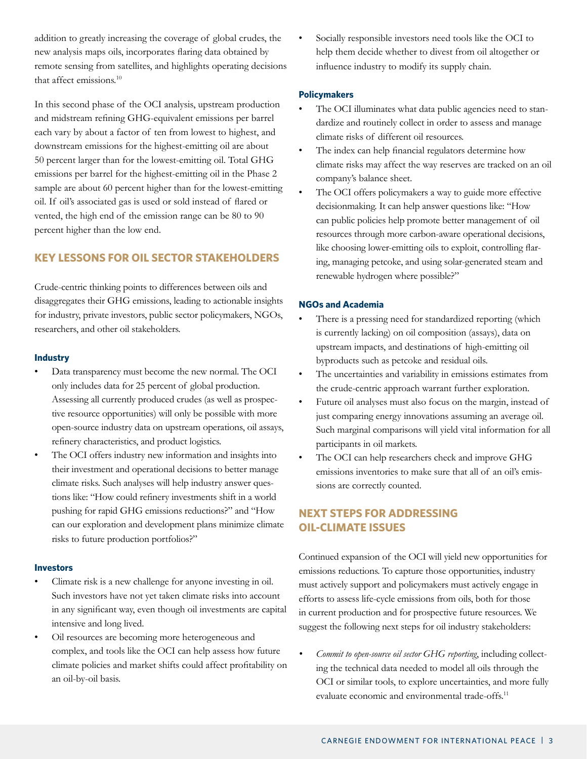addition to greatly increasing the coverage of global crudes, the new analysis maps oils, incorporates faring data obtained by remote sensing from satellites, and highlights operating decisions that affect emissions.<sup>10</sup>

In this second phase of the OCI analysis, upstream production and midstream refning GHG-equivalent emissions per barrel each vary by about a factor of ten from lowest to highest, and downstream emissions for the highest-emitting oil are about 50 percent larger than for the lowest-emitting oil. Total GHG emissions per barrel for the highest-emitting oil in the Phase 2 sample are about 60 percent higher than for the lowest-emitting oil. If oil's associated gas is used or sold instead of fared or vented, the high end of the emission range can be 80 to 90 percent higher than the low end.

# **KEY LESSONS FOR OIL SECTOR STAKEHOLDERS**

Crude-centric thinking points to differences between oils and disaggregates their GHG emissions, leading to actionable insights for industry, private investors, public sector policymakers, NGOs, researchers, and other oil stakeholders.

### **Industry**

- Data transparency must become the new normal. The OCI only includes data for 25 percent of global production. Assessing all currently produced crudes (as well as prospective resource opportunities) will only be possible with more open-source industry data on upstream operations, oil assays, refnery characteristics, and product logistics.
- The OCI offers industry new information and insights into their investment and operational decisions to better manage climate risks. Such analyses will help industry answer questions like: "How could refnery investments shift in a world pushing for rapid GHG emissions reductions?" and "How can our exploration and development plans minimize climate risks to future production portfolios?"

### **Investors**

- Climate risk is a new challenge for anyone investing in oil. Such investors have not yet taken climate risks into account in any signifcant way, even though oil investments are capital intensive and long lived.
- Oil resources are becoming more heterogeneous and complex, and tools like the OCI can help assess how future climate policies and market shifts could affect proftability on an oil-by-oil basis.

Socially responsible investors need tools like the OCI to help them decide whether to divest from oil altogether or infuence industry to modify its supply chain.

# **Policymakers**

- The OCI illuminates what data public agencies need to standardize and routinely collect in order to assess and manage climate risks of different oil resources.
- The index can help financial regulators determine how climate risks may affect the way reserves are tracked on an oil company's balance sheet.
- The OCI offers policymakers a way to guide more effective decisionmaking. It can help answer questions like: "How can public policies help promote better management of oil resources through more carbon-aware operational decisions, like choosing lower-emitting oils to exploit, controlling faring, managing petcoke, and using solar-generated steam and renewable hydrogen where possible?"

## **NGOs and Academia**

- There is a pressing need for standardized reporting (which is currently lacking) on oil composition (assays), data on upstream impacts, and destinations of high-emitting oil byproducts such as petcoke and residual oils.
- The uncertainties and variability in emissions estimates from the crude-centric approach warrant further exploration.
- Future oil analyses must also focus on the margin, instead of just comparing energy innovations assuming an average oil. Such marginal comparisons will yield vital information for all participants in oil markets.
- The OCI can help researchers check and improve GHG emissions inventories to make sure that all of an oil's emissions are correctly counted.

# **NEXT STEPS FOR ADDRESSING OIL-CLIMATE ISSUES**

Continued expansion of the OCI will yield new opportunities for emissions reductions. To capture those opportunities, industry must actively support and policymakers must actively engage in efforts to assess life-cycle emissions from oils, both for those in current production and for prospective future resources. We suggest the following next steps for oil industry stakeholders:

*• Commit to open-source oil sector GHG reporting*, including collecting the technical data needed to model all oils through the OCI or similar tools, to explore uncertainties, and more fully evaluate economic and environmental trade-offs.11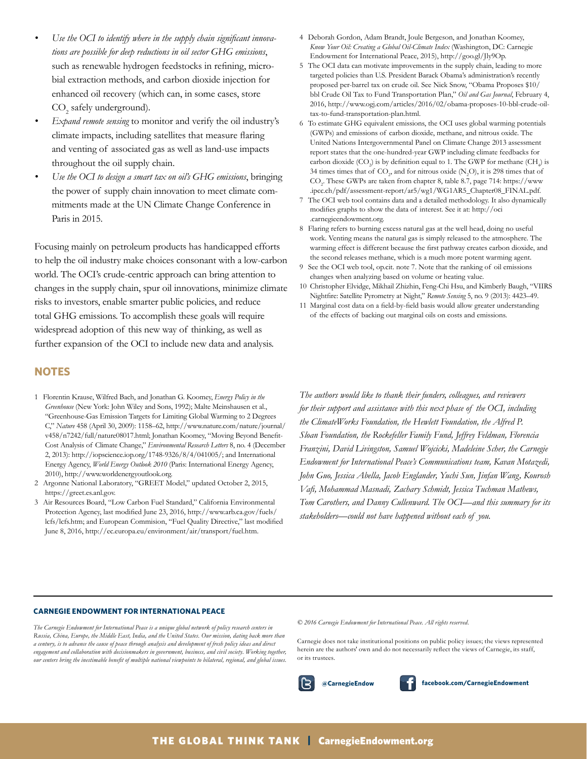- Use the OCI to identify where in the supply chain significant innova*tions are possible for deep reductions in oil sector GHG emissions*, such as renewable hydrogen feedstocks in refning, microbial extraction methods, and carbon dioxide injection for enhanced oil recovery (which can, in some cases, store  $\mathrm{CO}_2$  safely underground).
- *• Expand remote sensing* to monitor and verify the oil industry's climate impacts, including satellites that measure faring and venting of associated gas as well as land-use impacts throughout the oil supply chain.
- *• Use the OCI to design a smart tax on oil's GHG emissions*, bringing the power of supply chain innovation to meet climate commitments made at the UN Climate Change Conference in Paris in 2015.

Focusing mainly on petroleum products has handicapped efforts to help the oil industry make choices consonant with a low-carbon world. The OCI's crude-centric approach can bring attention to changes in the supply chain, spur oil innovations, minimize climate risks to investors, enable smarter public policies, and reduce total GHG emissions. To accomplish these goals will require widespread adoption of this new way of thinking, as well as further expansion of the OCI to include new data and analysis.

### **NOTES**

- 1 Florentin Krause, Wilfred Bach, and Jonathan G. Koomey, *Energy Policy in the Greenhouse* (New York: John Wiley and Sons, 1992); Malte Meinshausen et al., "Greenhouse-Gas Emission Targets for Limiting Global Warming to 2 Degrees C," *Nature* 458 (April 30, 2009): 1158–62, http://www.nature.com/nature/journal/ v458/n7242/full/nature08017.html; Jonathan Koomey, "Moving Beyond Beneft-Cost Analysis of Climate Change," *Environmental Research Letters* 8, no. 4 (December 2, 2013): http://iopscience.iop.org/1748-9326/8/4/041005/; and International Energy Agency, *World Energy Outlook 2010* (Paris: International Energy Agency, 2010), http://www.worldenergyoutlook.org.
- 2 Argonne National Laboratory, "GREET Model," updated October 2, 2015, https://greet.es.anl.gov.
- 3 Air Resources Board, "Low Carbon Fuel Standard," California Environmental Protection Agency, last modifed June 23, 2016, [http://www.arb.ca.gov/fuels/](http://www.arb.ca.gov/fuels/lcfs/lcfs.htm) [lcfs/lcfs.](http://www.arb.ca.gov/fuels/lcfs/lcfs.htm)htm; and European Commision, "Fuel Quality Directive," last modifed June 8, 2016, [http://ec.europa.eu/environment/air/transport/fuel.](http://ec.europa.eu/environment/air/transport/fuel.htm)htm.
- 4 Deborah Gordon, Adam Brandt, Joule Bergeson, and Jonathan Koomey, *Know Your Oil: Creating a Global Oil-Climate Index* (Washington, DC: Carnegie Endowment for International Peace, 2015), http://goo.gl/Jly9Op.
- 5 The OCI data can motivate improvements in the supply chain, leading to more targeted policies than U.S. President Barack Obama's administration's recently proposed per-barrel tax on crude oil. See Nick Snow, "Obama Proposes \$10/ bbl Crude Oil Tax to Fund Transportation Plan," *Oil and Gas Journal*, February 4, 2016, [http://www.ogj.com/articles/2016/02/obama-proposes-10-bbl-crude-oil](http://www.ogj.com/articles/2016/02/obama-proposes-10-bbl-crude-oil-tax-to-fund-transportation-plan.html)[tax-to-fund-transportation-plan.html](http://www.ogj.com/articles/2016/02/obama-proposes-10-bbl-crude-oil-tax-to-fund-transportation-plan.html).
- 6 To estimate GHG equivalent emissions, the OCI uses global warming potentials (GWPs) and emissions of carbon dioxide, methane, and nitrous oxide. The United Nations Intergovernmental Panel on Climate Change 2013 assessment report states that the one-hundred-year GWP including climate feedbacks for carbon dioxide (CO<sub>2</sub>) is by definition equal to 1. The GWP for methane (CH<sub>4</sub>) is 34 times times that of  $\mathrm{CO}_2$ , and for nitrous oxide  $(\mathrm{N}_2\mathrm{O})$ , it is 298 times that of CO<sup>2</sup> . These GWPs are taken from chapter 8, table 8.7, page 714: https://www .ipcc.ch/pdf/assessment-report/ar5/wg1/WG1AR5\_Chapter08\_FINAL.pdf.
- 7 The OCI web tool contains data and a detailed methodology. It also dynamically modifes graphs to show the data of interest. See it at: http://oci .carnegieendowment.org.
- 8 Flaring refers to burning excess natural gas at the well head, doing no useful work. Venting means the natural gas is simply released to the atmosphere. The warming effect is different because the frst pathway creates carbon dioxide, and the second releases methane, which is a much more potent warming agent.
- 9 See the OCI web tool, op.cit. note 7. Note that the ranking of oil emissions changes when analyzing based on volume or heating value.
- 10 Christopher Elvidge, Mikhail Zhizhin, Feng-Chi Hsu, and Kimberly Baugh, "VIIRS Nightfre: Satellite Pyrometry at Night," *Remote Sensing* 5, no. 9 (2013): 4423–49.
- 11 Marginal cost data on a feld-by-feld basis would allow greater understanding of the effects of backing out marginal oils on costs and emissions.

*The authors would like to thank their funders, colleagues, and reviewers for their support and assistance with this next phase of the OCI, including the ClimateWorks Foundation, the Hewlett Foundation, the Alfred P. Sloan Foundation, the Rockefeller Family Fund, Jeffrey Feldman, Florencia Franzini, David Livingston, Samuel Wojcicki, Madeleine Scher, the Carnegie Endowment for International Peace's Communications team, Kavan Motazedi, John Guo, Jessica Abella, Jacob Englander, Yuchi Sun, Jinfan Wang, Kourosh Vaf, Mohammad Masnadi, Zachary Schmidt, Jessica Tuchman Mathews, Tom Carothers, and Danny Cullenward. The OCI—and this summary for its stakeholders—could not have happened without each of you.*

#### **CARNEGIE ENDOWMENT FOR INTERNATIONAL PEACE**

*The Carnegie Endowment for International Peace is a unique global network of policy research centers in Russia, China, Europe, the Middle East, India, and the United States. Our mission, dating back more than a century, is to advance the cause of peace through analysis and development of fresh policy ideas and direct engagement and collaboration with decisionmakers in government, business, and civil society. Working together, our centers bring the inestimable beneft of multiple national viewpoints to bilateral, regional, and global issues.* *© 2016 Carnegie Endowment for International Peace. All rights reserved.*

Carnegie does not take institutional positions on public policy issues; the views represented herein are the authors' own and do not necessarily refect the views of Carnegie, its staff, or its trustees.

**@CarnegieEndow facebook.com/CarnegieEndowment**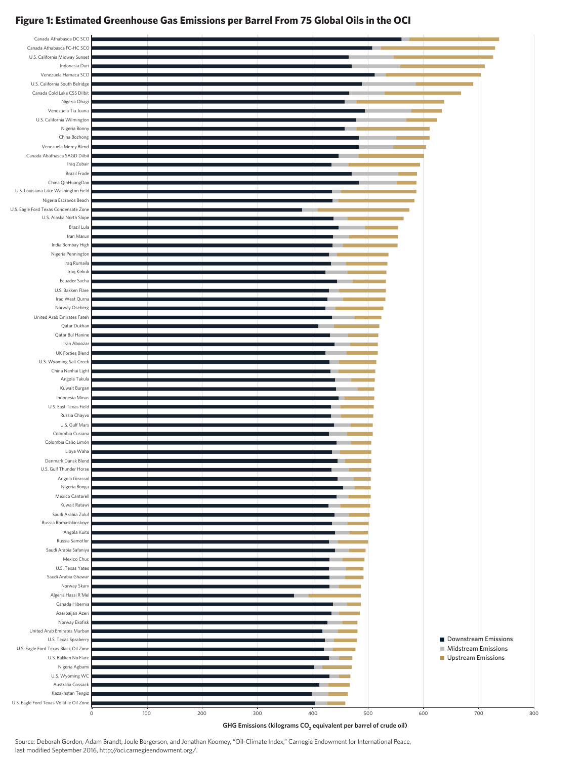# **Figure 1: Estimated Greenhouse Gas Emissions per Barrel From 75 Global Oils in the OCI**

| Canada Athabasca DC SCO                                          |                    |     |     |     |     |     |                            |     |
|------------------------------------------------------------------|--------------------|-----|-----|-----|-----|-----|----------------------------|-----|
| Canada Athabasca FC-HC SCO                                       |                    |     |     |     |     |     |                            |     |
| U.S. California Midway Sunset                                    |                    |     |     |     |     |     |                            |     |
| Indonesia Duri                                                   |                    |     |     |     |     |     |                            |     |
| Venezuela Hamaca SCO                                             |                    |     |     |     |     |     |                            |     |
| U.S. California South Belridge                                   |                    |     |     |     |     |     |                            |     |
| Canada Cold Lake CSS Dilbit                                      |                    |     |     |     |     |     |                            |     |
| Nigeria Obagi                                                    |                    |     |     |     |     |     |                            |     |
| Venezuela Tia Juana<br>U.S. California Wilmington                |                    |     |     |     |     |     |                            |     |
| Nigeria Bonny                                                    |                    |     |     |     |     |     |                            |     |
| China Bozhong                                                    |                    |     |     |     |     |     |                            |     |
| Venezuela Merey Blend                                            |                    |     |     |     |     |     |                            |     |
| Canada Abathasca SAGD Dilbit                                     |                    |     |     |     |     |     |                            |     |
| Iraq Zubair                                                      |                    |     |     |     |     |     |                            |     |
| <b>Brazil Frade</b>                                              |                    |     |     |     |     |     |                            |     |
| China QinHuangDao                                                |                    |     |     |     |     |     |                            |     |
| U.S. Louisiana Lake Washington Field                             |                    |     |     |     |     |     |                            |     |
| Nigeria Escravos Beach                                           |                    |     |     |     |     |     |                            |     |
| U.S. Eagle Ford Texas Condensate Zone<br>U.S. Alaska North Slope |                    |     |     |     |     |     |                            |     |
| Brazil Lula                                                      |                    |     |     |     |     |     |                            |     |
| Iran Marun                                                       |                    |     |     |     |     |     |                            |     |
| India Bombay High                                                |                    |     |     |     |     |     |                            |     |
| Nigeria Pennington                                               |                    |     |     |     |     |     |                            |     |
| Iraq Rumaila                                                     |                    |     |     |     |     |     |                            |     |
| Iraq Kirkuk                                                      |                    |     |     |     |     |     |                            |     |
| Ecuador Sacha                                                    |                    |     |     |     |     |     |                            |     |
| U.S. Bakken Flare                                                |                    |     |     |     |     |     |                            |     |
| Iraq West Qurna                                                  |                    |     |     |     |     |     |                            |     |
| Norway Oseberg<br>United Arab Emirates Fateh                     |                    |     |     |     |     |     |                            |     |
| Qatar Dukhan                                                     |                    |     |     |     |     |     |                            |     |
| Qatar Bul Hanine                                                 |                    |     |     |     |     |     |                            |     |
| Iran Aboozar                                                     |                    |     |     |     |     |     |                            |     |
| <b>UK Forties Blend</b>                                          |                    |     |     |     |     |     |                            |     |
| U.S. Wyoming Salt Creek                                          |                    |     |     |     |     |     |                            |     |
| China Nanhai Light                                               |                    |     |     |     |     |     |                            |     |
| Angola Takula                                                    |                    |     |     |     |     |     |                            |     |
| Kuwait Burgan                                                    |                    |     |     |     |     |     |                            |     |
| Indonesia Minas                                                  |                    |     |     |     |     |     |                            |     |
| U.S. East Texas Field                                            |                    |     |     |     |     |     |                            |     |
| Russia Chayvo<br>U.S. Gulf Mars                                  |                    |     |     |     |     |     |                            |     |
| Colombia Cusiana                                                 |                    |     |     |     |     |     |                            |     |
| Colombia Caño Limón                                              |                    |     |     |     |     |     |                            |     |
| Libya Waha                                                       |                    |     |     |     |     |     |                            |     |
| Denmark Dansk Blend                                              |                    |     |     |     |     |     |                            |     |
| U.S. Gulf Thunder Horse                                          |                    |     |     |     |     |     |                            |     |
| Angola Girassol                                                  |                    |     |     |     |     |     |                            |     |
| Nigeria Bonga                                                    |                    |     |     |     |     |     |                            |     |
| Mexico Cantarell                                                 |                    |     |     |     |     |     |                            |     |
| Kuwait Ratawi                                                    |                    |     |     |     |     |     |                            |     |
| Saudi Arabia Zuluf<br>Russia Romashkinskoye                      |                    |     |     |     |     |     |                            |     |
| Angola Kuito                                                     |                    |     |     |     |     |     |                            |     |
| Russia Samotlor                                                  |                    |     |     |     |     |     |                            |     |
| Saudi Arabia Safaniya                                            |                    |     |     |     |     |     |                            |     |
| Mexico Chuc                                                      |                    |     |     |     |     |     |                            |     |
| U.S. Texas Yates                                                 |                    |     |     |     |     |     |                            |     |
| Saudi Arabia Ghawar                                              |                    |     |     |     |     |     |                            |     |
| Norway Skarv                                                     |                    |     |     |     |     |     |                            |     |
| Algeria Hassi R'Mel                                              |                    |     |     |     |     |     |                            |     |
| Canada Hibernia                                                  |                    |     |     |     |     |     |                            |     |
|                                                                  |                    |     |     |     |     |     |                            |     |
| Azerbaijan Azeri                                                 |                    |     |     |     |     |     |                            |     |
| Norway Ekofisk<br>United Arab Emirates Murban                    |                    |     |     |     |     |     |                            |     |
| U.S. Texas Spraberry                                             |                    |     |     |     |     |     | Downstream Emissions       |     |
| U.S. Eagle Ford Texas Black Oil Zone                             |                    |     |     |     |     |     | <b>Midstream Emissions</b> |     |
| U.S. Bakken No Flare                                             |                    |     |     |     |     |     | Upstream Emissions         |     |
| Nigeria Agbami                                                   |                    |     |     |     |     |     |                            |     |
| U.S. Wyoming WC                                                  |                    |     |     |     |     |     |                            |     |
| Australia Cossack                                                |                    |     |     |     |     |     |                            |     |
| Kazakhstan Tengiz                                                |                    |     |     |     |     |     |                            |     |
| U.S. Eagle Ford Texas Volatile Oil Zone                          | $\mathsf O$<br>100 | 200 | 300 | 400 | 500 | 600 | 700                        | 800 |

Source: Deborah Gordon, Adam Brandt, Joule Bergerson, and Jonathan Koomey, "Oil-Climate Index," Carnegie Endowment for International Peace, last modified September 2016, http://oci.carnegieendowment.org/.

GHG Emissions (kilograms CO<sub>2</sub> equivalent per barrel of crude oil)